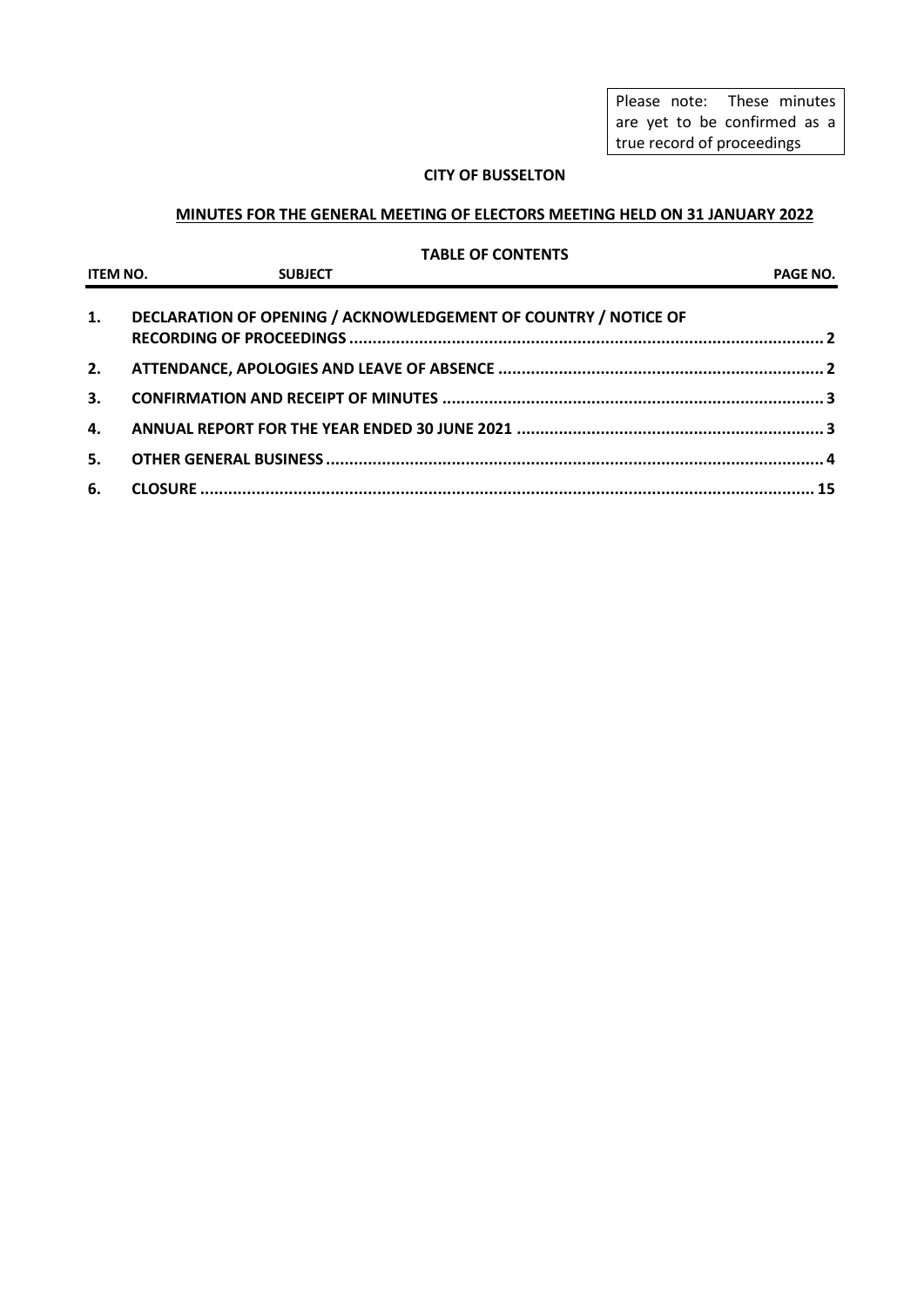Please note: These minutes are yet to be confirmed as a true record of proceedings

## **CITY OF BUSSELTON**

## **MINUTES FOR THE GENERAL MEETING OF ELECTORS MEETING HELD ON 31 JANUARY 2022**

## **TABLE OF CONTENTS**

|              | ITEM NO. SUBJECT | PAGE NO.                                                        |  |
|--------------|------------------|-----------------------------------------------------------------|--|
| 1.           |                  | DECLARATION OF OPENING / ACKNOWLEDGEMENT OF COUNTRY / NOTICE OF |  |
| 2.           |                  |                                                                 |  |
| 3.           |                  |                                                                 |  |
| $\mathbf{4}$ |                  |                                                                 |  |
| 5.           |                  |                                                                 |  |
| 6.           |                  |                                                                 |  |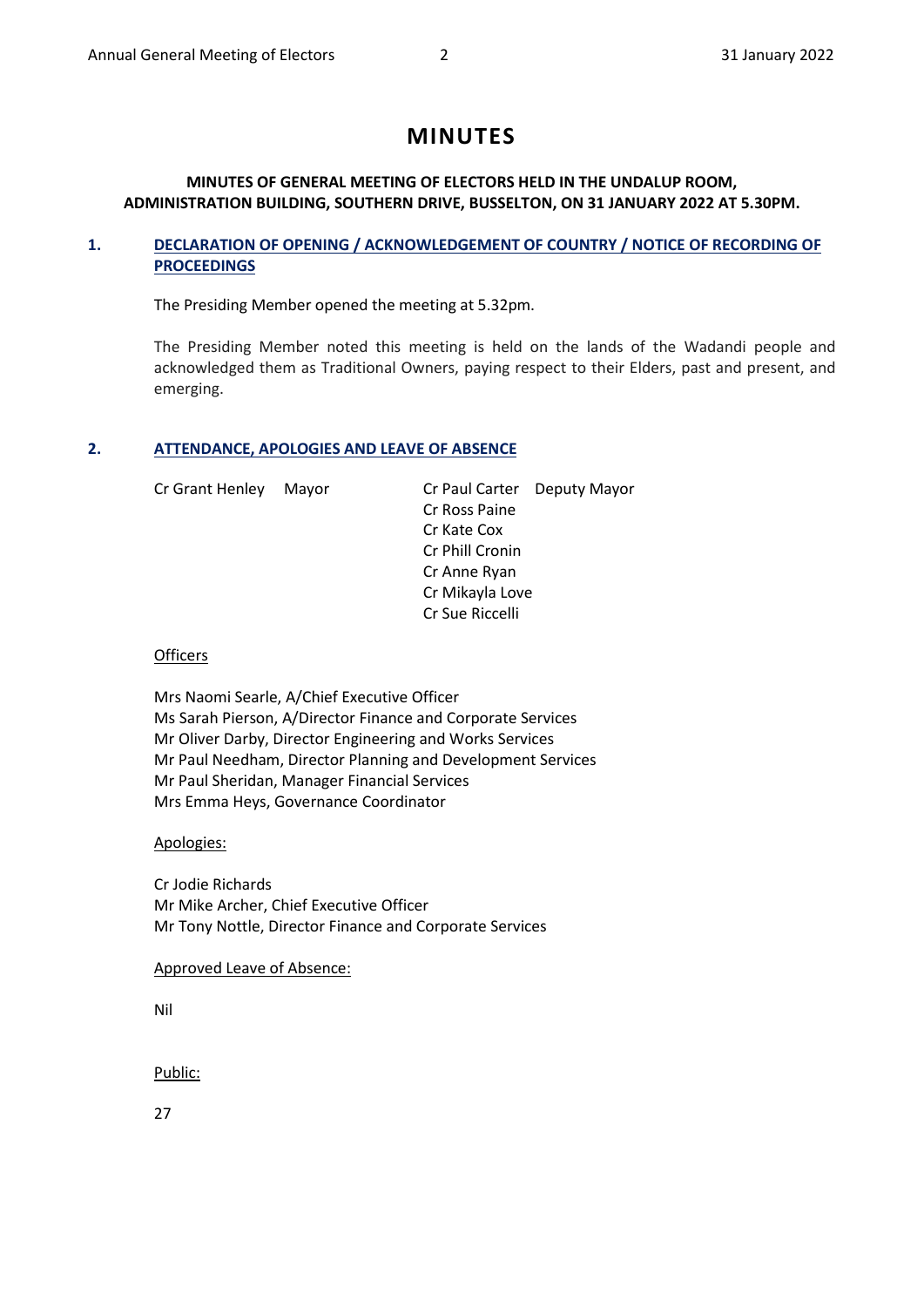# **MINUTES**

## **MINUTES OF GENERAL MEETING OF ELECTORS HELD IN THE UNDALUP ROOM, ADMINISTRATION BUILDING, SOUTHERN DRIVE, BUSSELTON, ON 31 JANUARY 2022 AT 5.30PM.**

## <span id="page-1-0"></span>**1. DECLARATION OF OPENING / ACKNOWLEDGEMENT OF COUNTRY / NOTICE OF RECORDING OF PROCEEDINGS**

The Presiding Member opened the meeting at 5.32pm.

The Presiding Member noted this meeting is held on the lands of the Wadandi people and acknowledged them as Traditional Owners, paying respect to their Elders, past and present, and emerging.

### <span id="page-1-1"></span>**2. ATTENDANCE, APOLOGIES AND LEAVE OF ABSENCE**

Cr Grant Henley Mayor Cr Paul Carter Deputy Mayor Cr Ross Paine Cr Kate Cox Cr Phill Cronin Cr Anne Ryan Cr Mikayla Love Cr Sue Riccelli

### **Officers**

Mrs Naomi Searle, A/Chief Executive Officer Ms Sarah Pierson, A/Director Finance and Corporate Services Mr Oliver Darby, Director Engineering and Works Services Mr Paul Needham, Director Planning and Development Services Mr Paul Sheridan, Manager Financial Services Mrs Emma Heys, Governance Coordinator

## Apologies:

Cr Jodie Richards Mr Mike Archer, Chief Executive Officer Mr Tony Nottle, Director Finance and Corporate Services

Approved Leave of Absence:

Nil

Public:

27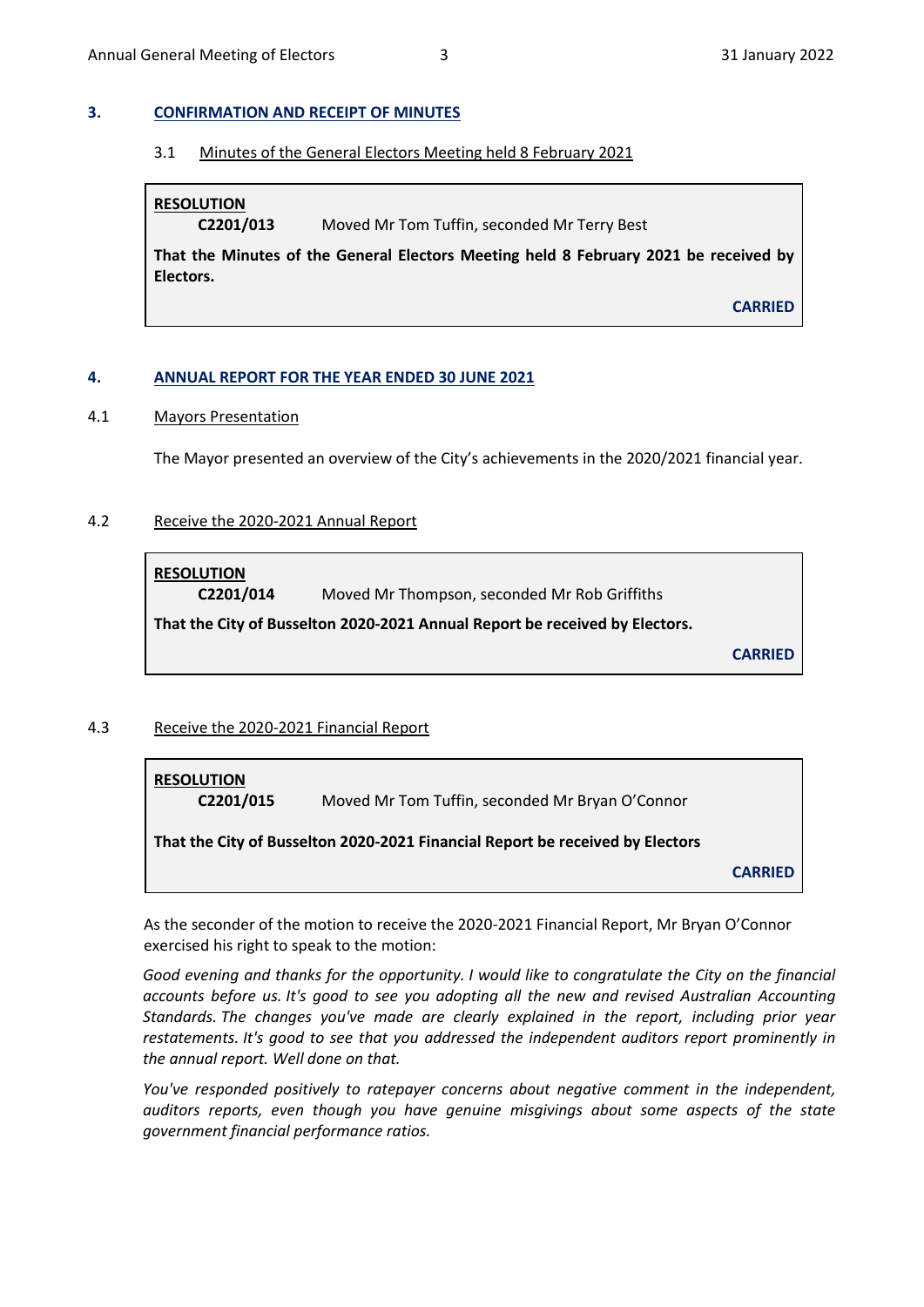### <span id="page-2-0"></span>**3. CONFIRMATION AND RECEIPT OF MINUTES**

3.1 Minutes of the General Electors Meeting held 8 February 2021

**RESOLUTION**

**C2201/013** Moved Mr Tom Tuffin, seconded Mr Terry Best

**That the Minutes of the General Electors Meeting held 8 February 2021 be received by Electors.**

**CARRIED**

### <span id="page-2-1"></span>**4. ANNUAL REPORT FOR THE YEAR ENDED 30 JUNE 2021**

### 4.1 Mayors Presentation

The Mayor presented an overview of the City's achievements in the 2020/2021 financial year.

## 4.2 Receive the 2020-2021 Annual Report

**RESOLUTION**

**C2201/014** Moved Mr Thompson, seconded Mr Rob Griffiths

**That the City of Busselton 2020-2021 Annual Report be received by Electors.**

**CARRIED**

### 4.3 Receive the 2020-2021 Financial Report

| <b>RESOLUTION</b><br>C2201/015                                                | Moved Mr Tom Tuffin, seconded Mr Bryan O'Connor |                |  |  |  |  |  |  |
|-------------------------------------------------------------------------------|-------------------------------------------------|----------------|--|--|--|--|--|--|
| That the City of Busselton 2020-2021 Financial Report be received by Electors |                                                 |                |  |  |  |  |  |  |
|                                                                               |                                                 | <b>CARRIED</b> |  |  |  |  |  |  |

As the seconder of the motion to receive the 2020-2021 Financial Report, Mr Bryan O'Connor exercised his right to speak to the motion:

*Good evening and thanks for the opportunity. I would like to congratulate the City on the financial accounts before us. It's good to see you adopting all the new and revised Australian Accounting Standards. The changes you've made are clearly explained in the report, including prior year restatements. It's good to see that you addressed the independent auditors report prominently in the annual report. Well done on that.*

*You've responded positively to ratepayer concerns about negative comment in the independent, auditors reports, even though you have genuine misgivings about some aspects of the state government financial performance ratios.*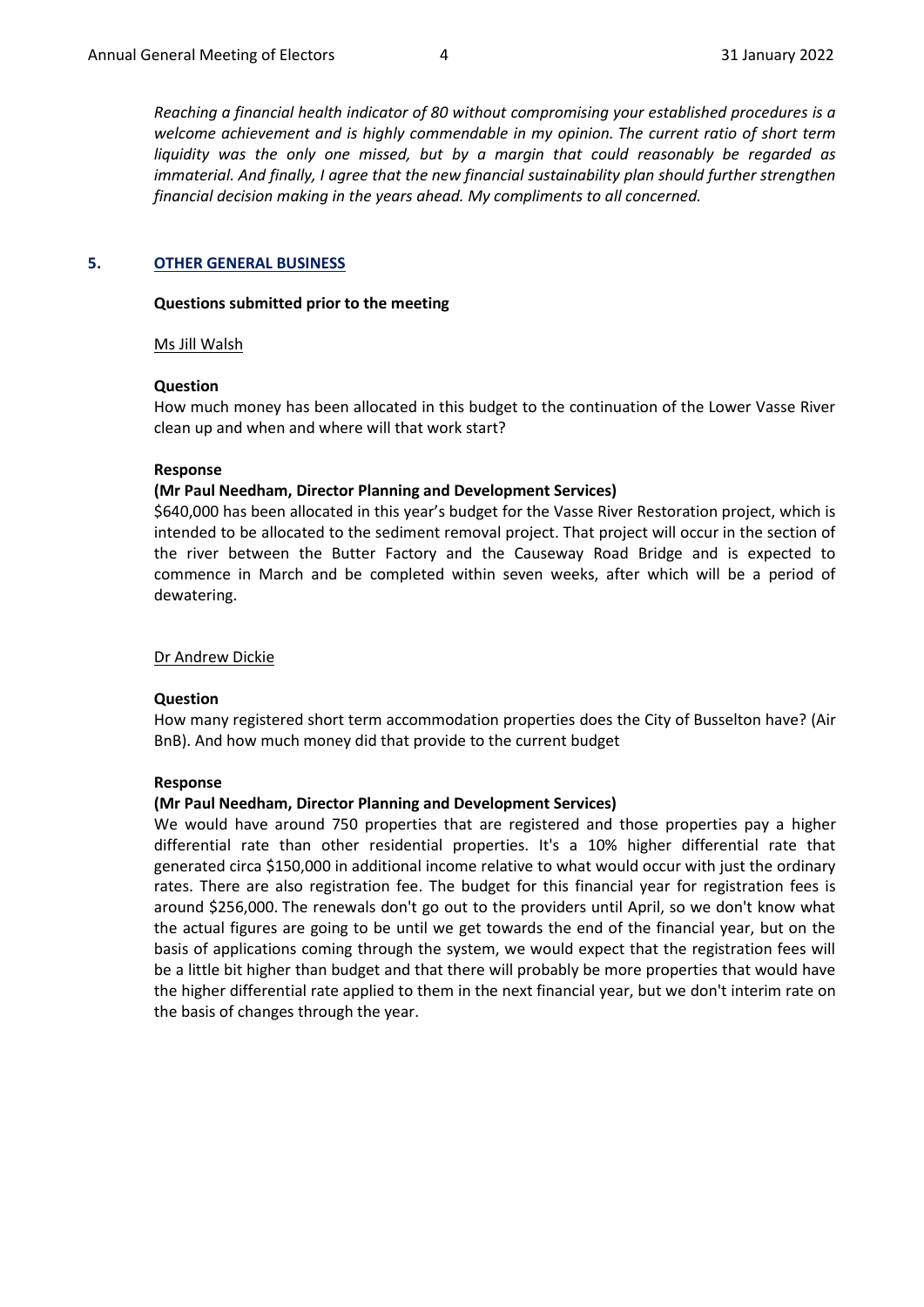*Reaching a financial health indicator of 80 without compromising your established procedures is a welcome achievement and is highly commendable in my opinion. The current ratio of short term liquidity was the only one missed, but by a margin that could reasonably be regarded as immaterial. And finally, I agree that the new financial sustainability plan should further strengthen financial decision making in the years ahead. My compliments to all concerned.*

## <span id="page-3-0"></span>**5. OTHER GENERAL BUSINESS**

### **Questions submitted prior to the meeting**

### Ms Jill Walsh

### **Question**

How much money has been allocated in this budget to the continuation of the Lower Vasse River clean up and when and where will that work start?

### **Response**

## **(Mr Paul Needham, Director Planning and Development Services)**

\$640,000 has been allocated in this year's budget for the Vasse River Restoration project, which is intended to be allocated to the sediment removal project. That project will occur in the section of the river between the Butter Factory and the Causeway Road Bridge and is expected to commence in March and be completed within seven weeks, after which will be a period of dewatering.

## Dr Andrew Dickie

## **Question**

How many registered short term accommodation properties does the City of Busselton have? (Air BnB). And how much money did that provide to the current budget

## **Response**

## **(Mr Paul Needham, Director Planning and Development Services)**

We would have around 750 properties that are registered and those properties pay a higher differential rate than other residential properties. It's a 10% higher differential rate that generated circa \$150,000 in additional income relative to what would occur with just the ordinary rates. There are also registration fee. The budget for this financial year for registration fees is around \$256,000. The renewals don't go out to the providers until April, so we don't know what the actual figures are going to be until we get towards the end of the financial year, but on the basis of applications coming through the system, we would expect that the registration fees will be a little bit higher than budget and that there will probably be more properties that would have the higher differential rate applied to them in the next financial year, but we don't interim rate on the basis of changes through the year.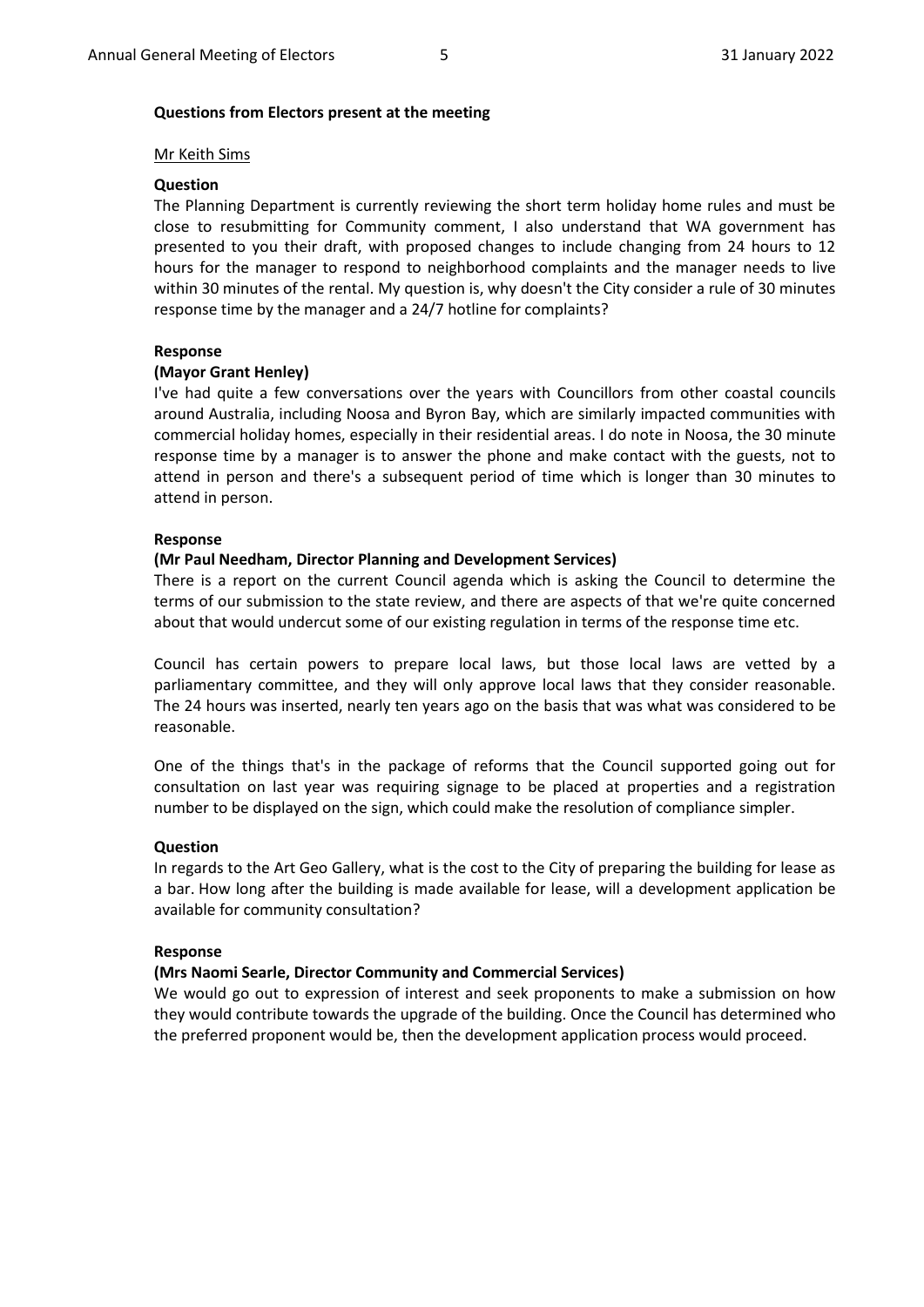### **Questions from Electors present at the meeting**

### Mr Keith Sims

### **Question**

The Planning Department is currently reviewing the short term holiday home rules and must be close to resubmitting for Community comment, I also understand that WA government has presented to you their draft, with proposed changes to include changing from 24 hours to 12 hours for the manager to respond to neighborhood complaints and the manager needs to live within 30 minutes of the rental. My question is, why doesn't the City consider a rule of 30 minutes response time by the manager and a 24/7 hotline for complaints?

### **Response**

### **(Mayor Grant Henley)**

I've had quite a few conversations over the years with Councillors from other coastal councils around Australia, including Noosa and Byron Bay, which are similarly impacted communities with commercial holiday homes, especially in their residential areas. I do note in Noosa, the 30 minute response time by a manager is to answer the phone and make contact with the guests, not to attend in person and there's a subsequent period of time which is longer than 30 minutes to attend in person.

### **Response**

### **(Mr Paul Needham, Director Planning and Development Services)**

There is a report on the current Council agenda which is asking the Council to determine the terms of our submission to the state review, and there are aspects of that we're quite concerned about that would undercut some of our existing regulation in terms of the response time etc.

Council has certain powers to prepare local laws, but those local laws are vetted by a parliamentary committee, and they will only approve local laws that they consider reasonable. The 24 hours was inserted, nearly ten years ago on the basis that was what was considered to be reasonable.

One of the things that's in the package of reforms that the Council supported going out for consultation on last year was requiring signage to be placed at properties and a registration number to be displayed on the sign, which could make the resolution of compliance simpler.

### **Question**

In regards to the Art Geo Gallery, what is the cost to the City of preparing the building for lease as a bar. How long after the building is made available for lease, will a development application be available for community consultation?

### **Response**

### **(Mrs Naomi Searle, Director Community and Commercial Services)**

We would go out to expression of interest and seek proponents to make a submission on how they would contribute towards the upgrade of the building. Once the Council has determined who the preferred proponent would be, then the development application process would proceed.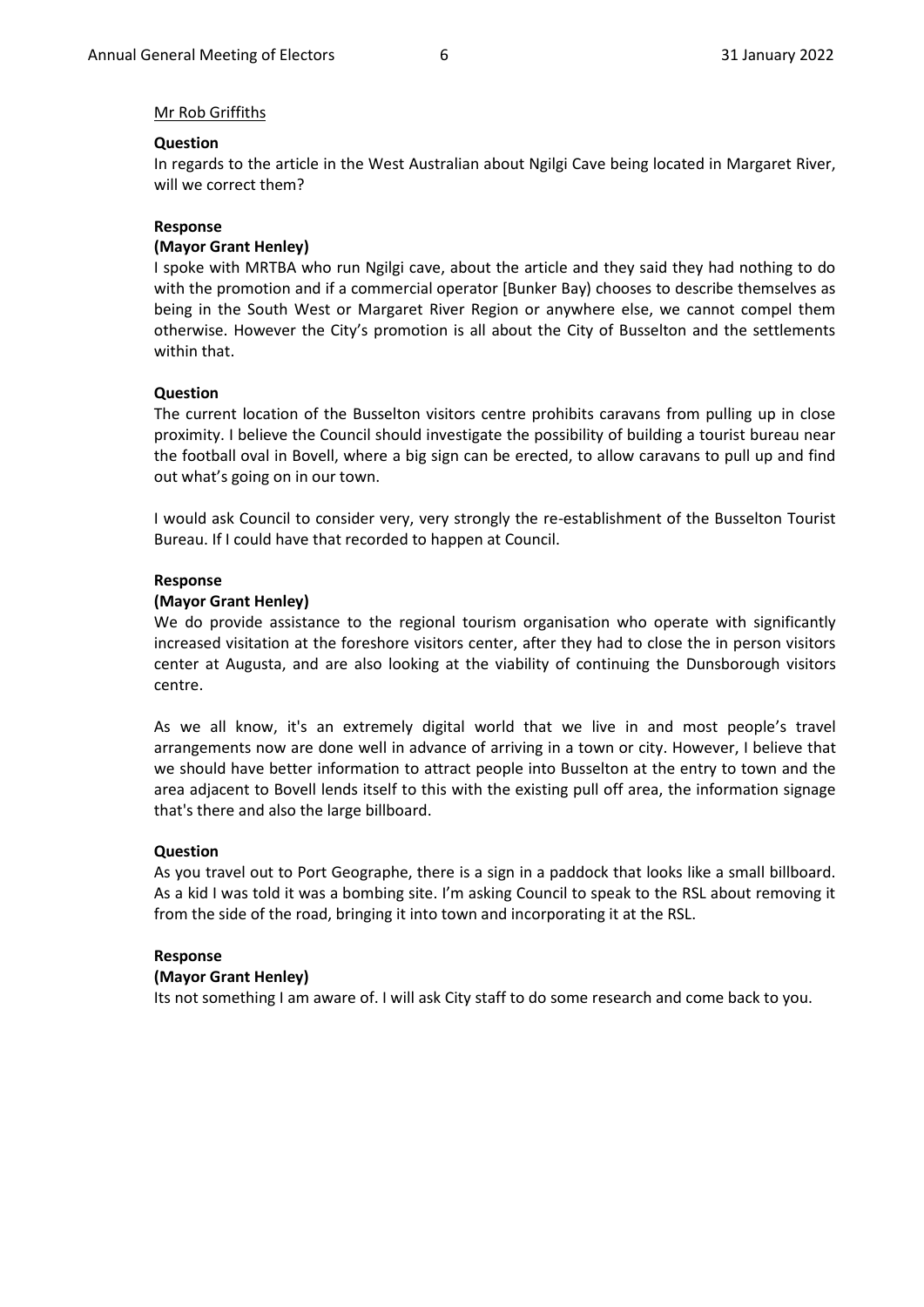### Mr Rob Griffiths

#### **Question**

In regards to the article in the West Australian about Ngilgi Cave being located in Margaret River, will we correct them?

#### **Response**

#### **(Mayor Grant Henley)**

I spoke with MRTBA who run Ngilgi cave, about the article and they said they had nothing to do with the promotion and if a commercial operator [Bunker Bay) chooses to describe themselves as being in the South West or Margaret River Region or anywhere else, we cannot compel them otherwise. However the City's promotion is all about the City of Busselton and the settlements within that.

### **Question**

The current location of the Busselton visitors centre prohibits caravans from pulling up in close proximity. I believe the Council should investigate the possibility of building a tourist bureau near the football oval in Bovell, where a big sign can be erected, to allow caravans to pull up and find out what's going on in our town.

I would ask Council to consider very, very strongly the re-establishment of the Busselton Tourist Bureau. If I could have that recorded to happen at Council.

#### **Response**

### **(Mayor Grant Henley)**

We do provide assistance to the regional tourism organisation who operate with significantly increased visitation at the foreshore visitors center, after they had to close the in person visitors center at Augusta, and are also looking at the viability of continuing the Dunsborough visitors centre.

As we all know, it's an extremely digital world that we live in and most people's travel arrangements now are done well in advance of arriving in a town or city. However, I believe that we should have better information to attract people into Busselton at the entry to town and the area adjacent to Bovell lends itself to this with the existing pull off area, the information signage that's there and also the large billboard.

#### **Question**

As you travel out to Port Geographe, there is a sign in a paddock that looks like a small billboard. As a kid I was told it was a bombing site. I'm asking Council to speak to the RSL about removing it from the side of the road, bringing it into town and incorporating it at the RSL.

### **Response**

#### **(Mayor Grant Henley)**

Its not something I am aware of. I will ask City staff to do some research and come back to you.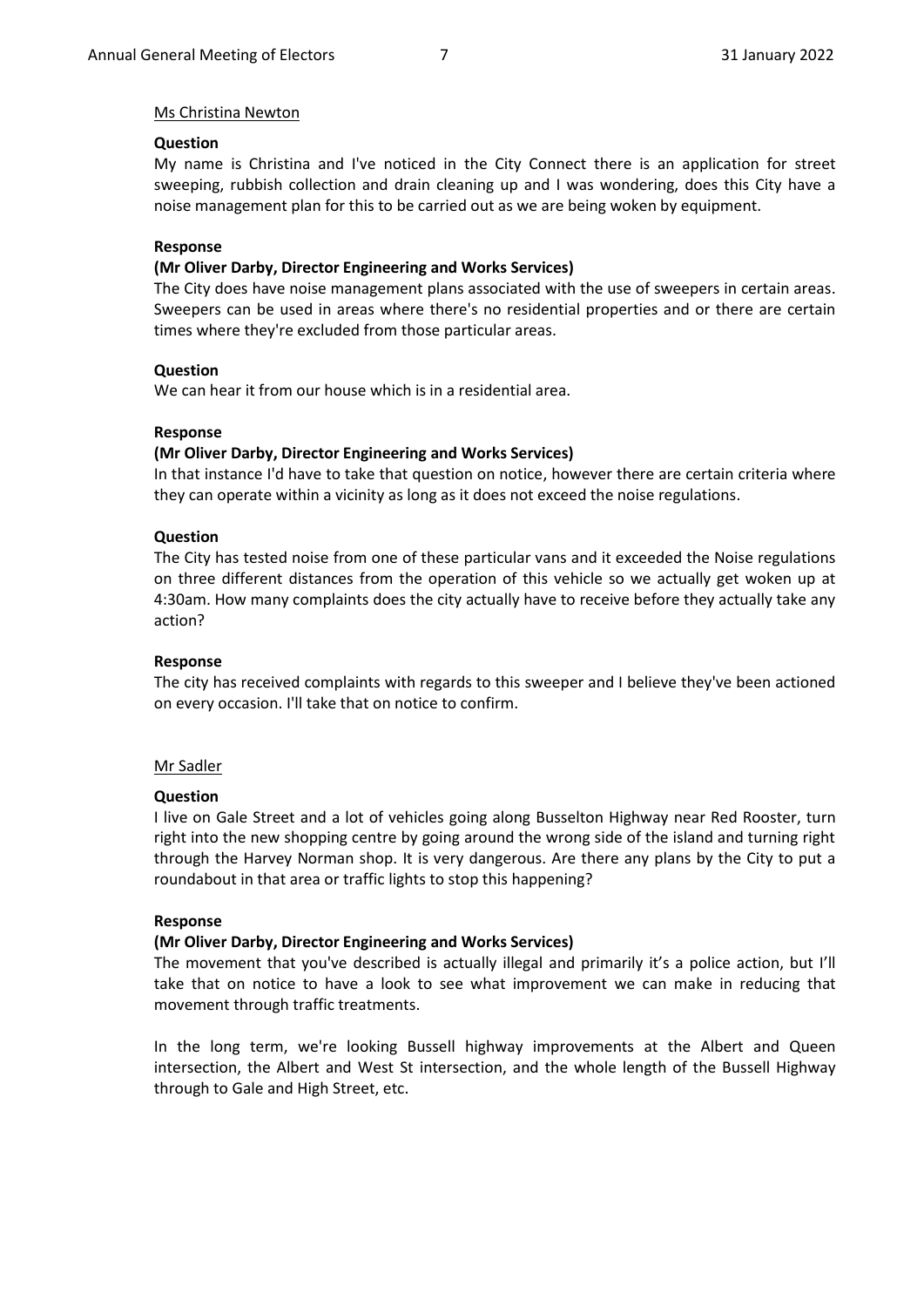## Ms Christina Newton

## **Question**

My name is Christina and I've noticed in the City Connect there is an application for street sweeping, rubbish collection and drain cleaning up and I was wondering, does this City have a noise management plan for this to be carried out as we are being woken by equipment.

### **Response**

### **(Mr Oliver Darby, Director Engineering and Works Services)**

The City does have noise management plans associated with the use of sweepers in certain areas. Sweepers can be used in areas where there's no residential properties and or there are certain times where they're excluded from those particular areas.

### **Question**

We can hear it from our house which is in a residential area.

### **Response**

### **(Mr Oliver Darby, Director Engineering and Works Services)**

In that instance I'd have to take that question on notice, however there are certain criteria where they can operate within a vicinity as long as it does not exceed the noise regulations.

### **Question**

The City has tested noise from one of these particular vans and it exceeded the Noise regulations on three different distances from the operation of this vehicle so we actually get woken up at 4:30am. How many complaints does the city actually have to receive before they actually take any action?

### **Response**

The city has received complaints with regards to this sweeper and I believe they've been actioned on every occasion. I'll take that on notice to confirm.

### Mr Sadler

### **Question**

I live on Gale Street and a lot of vehicles going along Busselton Highway near Red Rooster, turn right into the new shopping centre by going around the wrong side of the island and turning right through the Harvey Norman shop. It is very dangerous. Are there any plans by the City to put a roundabout in that area or traffic lights to stop this happening?

### **Response**

## **(Mr Oliver Darby, Director Engineering and Works Services)**

The movement that you've described is actually illegal and primarily it's a police action, but I'll take that on notice to have a look to see what improvement we can make in reducing that movement through traffic treatments.

In the long term, we're looking Bussell highway improvements at the Albert and Queen intersection, the Albert and West St intersection, and the whole length of the Bussell Highway through to Gale and High Street, etc.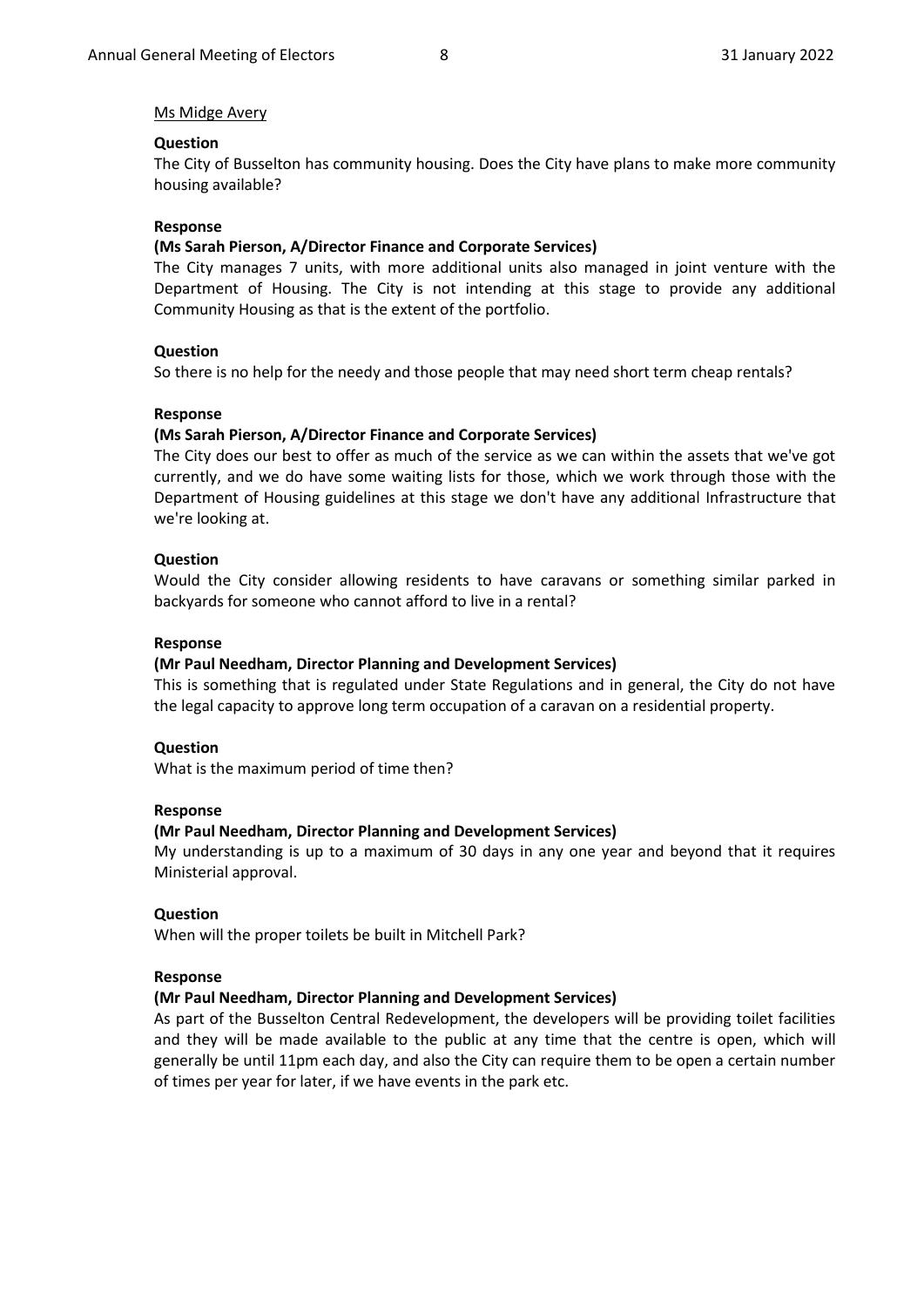### Ms Midge Avery

### **Question**

The City of Busselton has community housing. Does the City have plans to make more community housing available?

### **Response**

#### **(Ms Sarah Pierson, A/Director Finance and Corporate Services)**

The City manages 7 units, with more additional units also managed in joint venture with the Department of Housing. The City is not intending at this stage to provide any additional Community Housing as that is the extent of the portfolio.

### **Question**

So there is no help for the needy and those people that may need short term cheap rentals?

#### **Response**

### **(Ms Sarah Pierson, A/Director Finance and Corporate Services)**

The City does our best to offer as much of the service as we can within the assets that we've got currently, and we do have some waiting lists for those, which we work through those with the Department of Housing guidelines at this stage we don't have any additional Infrastructure that we're looking at.

### **Question**

Would the City consider allowing residents to have caravans or something similar parked in backyards for someone who cannot afford to live in a rental?

#### **Response**

#### **(Mr Paul Needham, Director Planning and Development Services)**

This is something that is regulated under State Regulations and in general, the City do not have the legal capacity to approve long term occupation of a caravan on a residential property.

#### **Question**

What is the maximum period of time then?

#### **Response**

#### **(Mr Paul Needham, Director Planning and Development Services)**

My understanding is up to a maximum of 30 days in any one year and beyond that it requires Ministerial approval.

#### **Question**

When will the proper toilets be built in Mitchell Park?

#### **Response**

### **(Mr Paul Needham, Director Planning and Development Services)**

As part of the Busselton Central Redevelopment, the developers will be providing toilet facilities and they will be made available to the public at any time that the centre is open, which will generally be until 11pm each day, and also the City can require them to be open a certain number of times per year for later, if we have events in the park etc.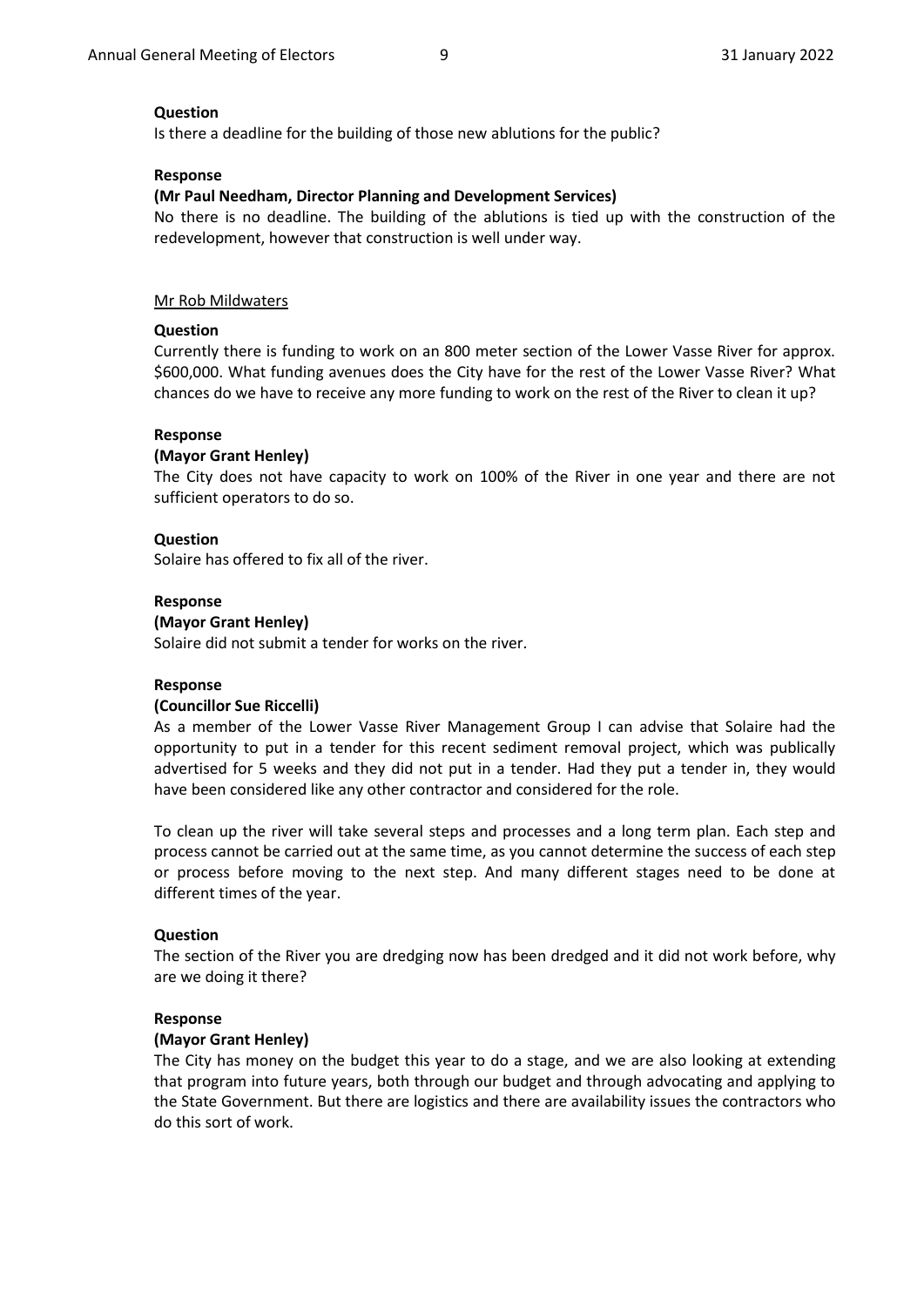### **Question**

Is there a deadline for the building of those new ablutions for the public?

### **Response**

### **(Mr Paul Needham, Director Planning and Development Services)**

No there is no deadline. The building of the ablutions is tied up with the construction of the redevelopment, however that construction is well under way.

### Mr Rob Mildwaters

### **Question**

Currently there is funding to work on an 800 meter section of the Lower Vasse River for approx. \$600,000. What funding avenues does the City have for the rest of the Lower Vasse River? What chances do we have to receive any more funding to work on the rest of the River to clean it up?

### **Response**

### **(Mayor Grant Henley)**

The City does not have capacity to work on 100% of the River in one year and there are not sufficient operators to do so.

### **Question**

Solaire has offered to fix all of the river.

### **Response**

### **(Mayor Grant Henley)**

Solaire did not submit a tender for works on the river.

## **Response**

### **(Councillor Sue Riccelli)**

As a member of the Lower Vasse River Management Group I can advise that Solaire had the opportunity to put in a tender for this recent sediment removal project, which was publically advertised for 5 weeks and they did not put in a tender. Had they put a tender in, they would have been considered like any other contractor and considered for the role.

To clean up the river will take several steps and processes and a long term plan. Each step and process cannot be carried out at the same time, as you cannot determine the success of each step or process before moving to the next step. And many different stages need to be done at different times of the year.

### **Question**

The section of the River you are dredging now has been dredged and it did not work before, why are we doing it there?

### **Response**

### **(Mayor Grant Henley)**

The City has money on the budget this year to do a stage, and we are also looking at extending that program into future years, both through our budget and through advocating and applying to the State Government. But there are logistics and there are availability issues the contractors who do this sort of work.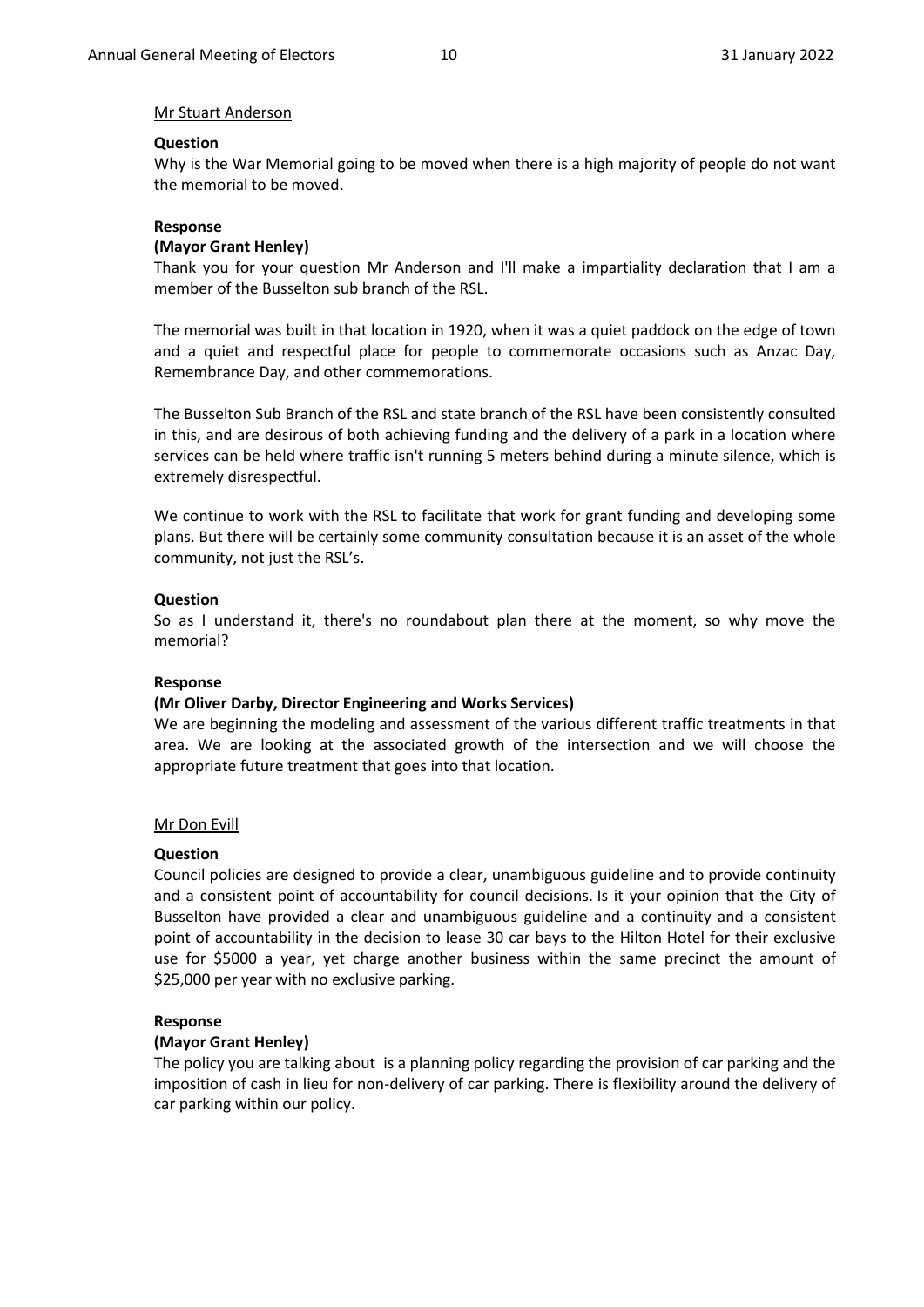### Mr Stuart Anderson

### **Question**

Why is the War Memorial going to be moved when there is a high majority of people do not want the memorial to be moved.

### **Response**

#### **(Mayor Grant Henley)**

Thank you for your question Mr Anderson and I'll make a impartiality declaration that I am a member of the Busselton sub branch of the RSL.

The memorial was built in that location in 1920, when it was a quiet paddock on the edge of town and a quiet and respectful place for people to commemorate occasions such as Anzac Day, Remembrance Day, and other commemorations.

The Busselton Sub Branch of the RSL and state branch of the RSL have been consistently consulted in this, and are desirous of both achieving funding and the delivery of a park in a location where services can be held where traffic isn't running 5 meters behind during a minute silence, which is extremely disrespectful.

We continue to work with the RSL to facilitate that work for grant funding and developing some plans. But there will be certainly some community consultation because it is an asset of the whole community, not just the RSL's.

### **Question**

So as I understand it, there's no roundabout plan there at the moment, so why move the memorial?

### **Response**

#### **(Mr Oliver Darby, Director Engineering and Works Services)**

We are beginning the modeling and assessment of the various different traffic treatments in that area. We are looking at the associated growth of the intersection and we will choose the appropriate future treatment that goes into that location.

#### Mr Don Evill

#### **Question**

Council policies are designed to provide a clear, unambiguous guideline and to provide continuity and a consistent point of accountability for council decisions. Is it your opinion that the City of Busselton have provided a clear and unambiguous guideline and a continuity and a consistent point of accountability in the decision to lease 30 car bays to the Hilton Hotel for their exclusive use for \$5000 a year, yet charge another business within the same precinct the amount of \$25,000 per year with no exclusive parking.

#### **Response**

#### **(Mayor Grant Henley)**

The policy you are talking about is a planning policy regarding the provision of car parking and the imposition of cash in lieu for non-delivery of car parking. There is flexibility around the delivery of car parking within our policy.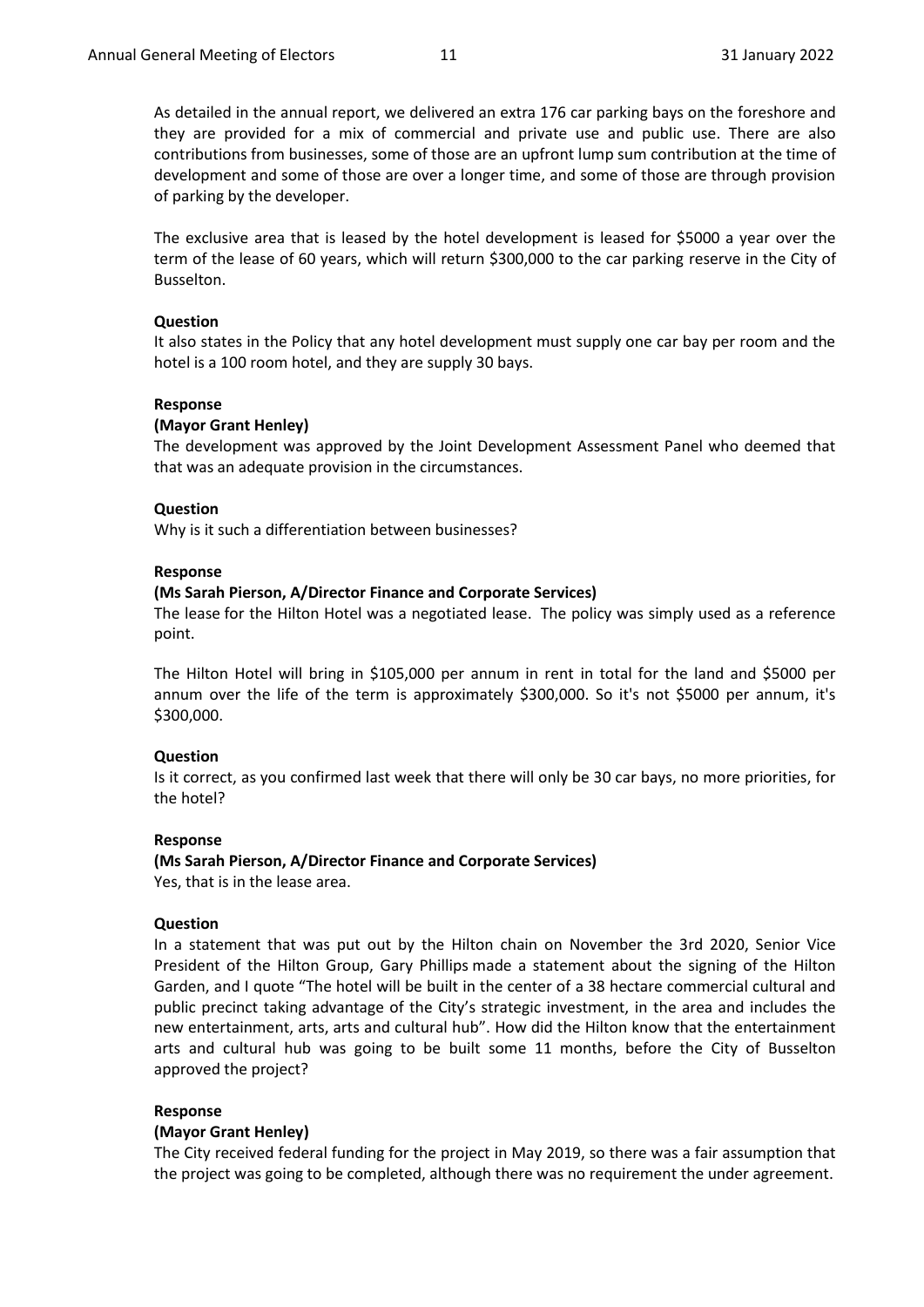As detailed in the annual report, we delivered an extra 176 car parking bays on the foreshore and they are provided for a mix of commercial and private use and public use. There are also contributions from businesses, some of those are an upfront lump sum contribution at the time of development and some of those are over a longer time, and some of those are through provision of parking by the developer.

The exclusive area that is leased by the hotel development is leased for \$5000 a year over the term of the lease of 60 years, which will return \$300,000 to the car parking reserve in the City of Busselton.

#### **Question**

It also states in the Policy that any hotel development must supply one car bay per room and the hotel is a 100 room hotel, and they are supply 30 bays.

#### **Response**

### **(Mayor Grant Henley)**

The development was approved by the Joint Development Assessment Panel who deemed that that was an adequate provision in the circumstances.

#### **Question**

Why is it such a differentiation between businesses?

#### **Response**

#### **(Ms Sarah Pierson, A/Director Finance and Corporate Services)**

The lease for the Hilton Hotel was a negotiated lease. The policy was simply used as a reference point.

The Hilton Hotel will bring in \$105,000 per annum in rent in total for the land and \$5000 per annum over the life of the term is approximately \$300,000. So it's not \$5000 per annum, it's \$300,000.

#### **Question**

Is it correct, as you confirmed last week that there will only be 30 car bays, no more priorities, for the hotel?

### **Response**

**(Ms Sarah Pierson, A/Director Finance and Corporate Services)** Yes, that is in the lease area.

### **Question**

In a statement that was put out by the Hilton chain on November the 3rd 2020, Senior Vice President of the Hilton Group, Gary Phillips made a statement about the signing of the Hilton Garden, and I quote "The hotel will be built in the center of a 38 hectare commercial cultural and public precinct taking advantage of the City's strategic investment, in the area and includes the new entertainment, arts, arts and cultural hub". How did the Hilton know that the entertainment arts and cultural hub was going to be built some 11 months, before the City of Busselton approved the project?

#### **Response**

#### **(Mayor Grant Henley)**

The City received federal funding for the project in May 2019, so there was a fair assumption that the project was going to be completed, although there was no requirement the under agreement.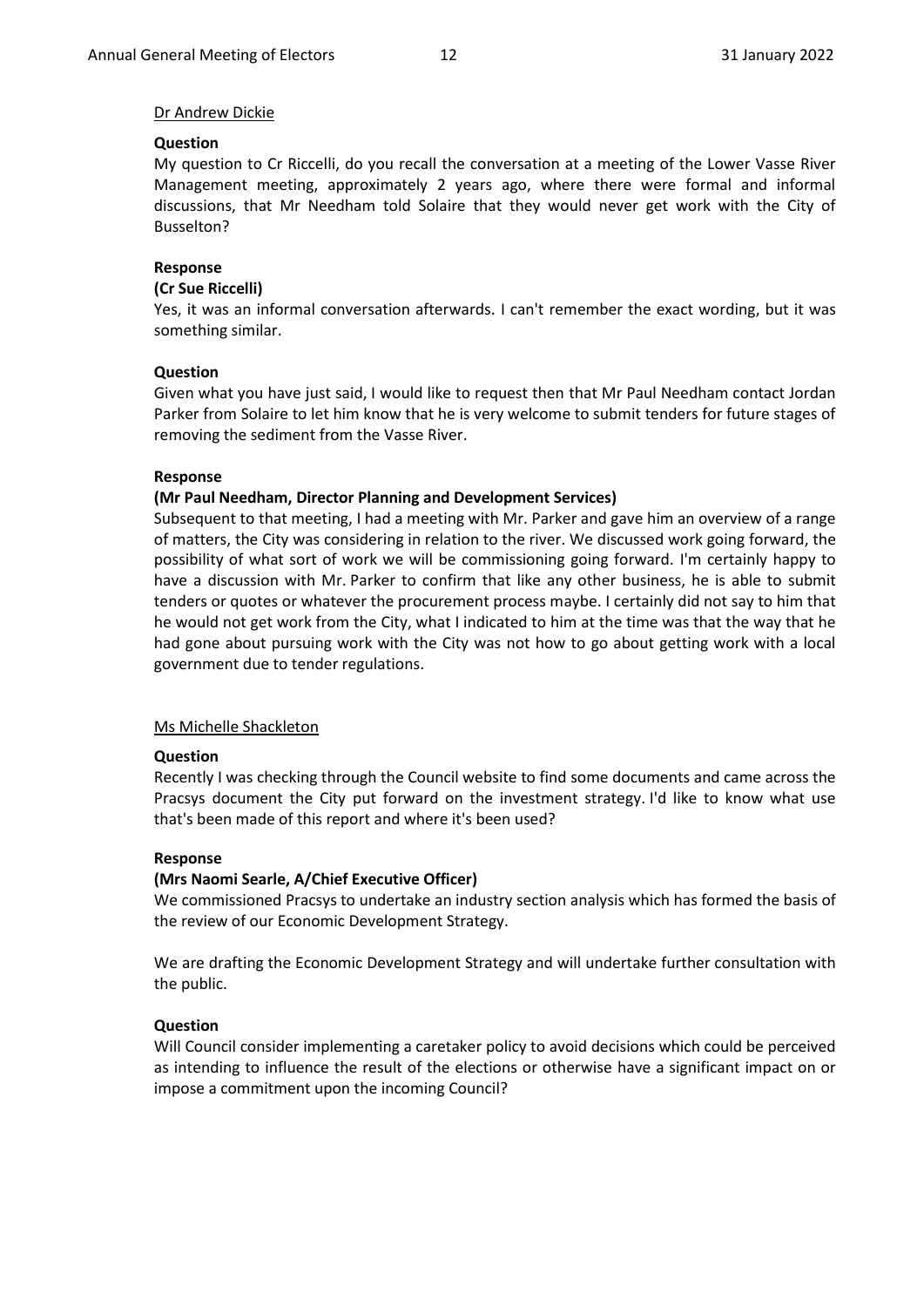### Dr Andrew Dickie

#### **Question**

My question to Cr Riccelli, do you recall the conversation at a meeting of the Lower Vasse River Management meeting, approximately 2 years ago, where there were formal and informal discussions, that Mr Needham told Solaire that they would never get work with the City of Busselton?

### **Response**

#### **(Cr Sue Riccelli)**

Yes, it was an informal conversation afterwards. I can't remember the exact wording, but it was something similar.

### **Question**

Given what you have just said, I would like to request then that Mr Paul Needham contact Jordan Parker from Solaire to let him know that he is very welcome to submit tenders for future stages of removing the sediment from the Vasse River.

### **Response**

### **(Mr Paul Needham, Director Planning and Development Services)**

Subsequent to that meeting, I had a meeting with Mr. Parker and gave him an overview of a range of matters, the City was considering in relation to the river. We discussed work going forward, the possibility of what sort of work we will be commissioning going forward. I'm certainly happy to have a discussion with Mr. Parker to confirm that like any other business, he is able to submit tenders or quotes or whatever the procurement process maybe. I certainly did not say to him that he would not get work from the City, what I indicated to him at the time was that the way that he had gone about pursuing work with the City was not how to go about getting work with a local government due to tender regulations.

### Ms Michelle Shackleton

#### **Question**

Recently I was checking through the Council website to find some documents and came across the Pracsys document the City put forward on the investment strategy. I'd like to know what use that's been made of this report and where it's been used?

#### **Response**

### **(Mrs Naomi Searle, A/Chief Executive Officer)**

We commissioned Pracsys to undertake an industry section analysis which has formed the basis of the review of our Economic Development Strategy.

We are drafting the Economic Development Strategy and will undertake further consultation with the public.

#### **Question**

Will Council consider implementing a caretaker policy to avoid decisions which could be perceived as intending to influence the result of the elections or otherwise have a significant impact on or impose a commitment upon the incoming Council?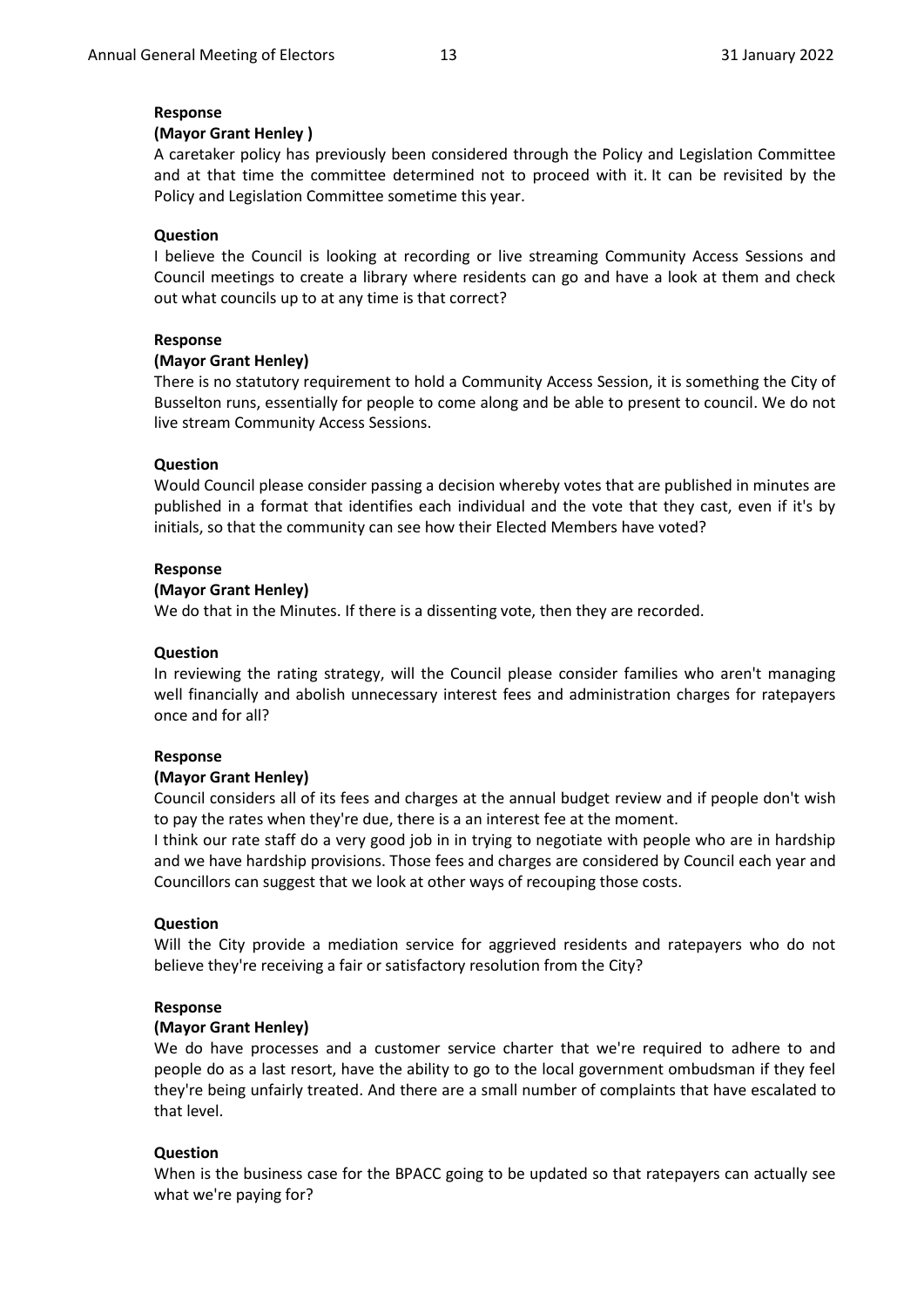### **Response**

### **(Mayor Grant Henley )**

A caretaker policy has previously been considered through the Policy and Legislation Committee and at that time the committee determined not to proceed with it. It can be revisited by the Policy and Legislation Committee sometime this year.

### **Question**

I believe the Council is looking at recording or live streaming Community Access Sessions and Council meetings to create a library where residents can go and have a look at them and check out what councils up to at any time is that correct?

### **Response**

### **(Mayor Grant Henley)**

There is no statutory requirement to hold a Community Access Session, it is something the City of Busselton runs, essentially for people to come along and be able to present to council. We do not live stream Community Access Sessions.

### **Question**

Would Council please consider passing a decision whereby votes that are published in minutes are published in a format that identifies each individual and the vote that they cast, even if it's by initials, so that the community can see how their Elected Members have voted?

### **Response**

### **(Mayor Grant Henley)**

We do that in the Minutes. If there is a dissenting vote, then they are recorded.

#### **Question**

In reviewing the rating strategy, will the Council please consider families who aren't managing well financially and abolish unnecessary interest fees and administration charges for ratepayers once and for all?

#### **Response**

#### **(Mayor Grant Henley)**

Council considers all of its fees and charges at the annual budget review and if people don't wish to pay the rates when they're due, there is a an interest fee at the moment.

I think our rate staff do a very good job in in trying to negotiate with people who are in hardship and we have hardship provisions. Those fees and charges are considered by Council each year and Councillors can suggest that we look at other ways of recouping those costs.

### **Question**

Will the City provide a mediation service for aggrieved residents and ratepayers who do not believe they're receiving a fair or satisfactory resolution from the City?

### **Response**

#### **(Mayor Grant Henley)**

We do have processes and a customer service charter that we're required to adhere to and people do as a last resort, have the ability to go to the local government ombudsman if they feel they're being unfairly treated. And there are a small number of complaints that have escalated to that level.

#### **Question**

When is the business case for the BPACC going to be updated so that ratepayers can actually see what we're paying for?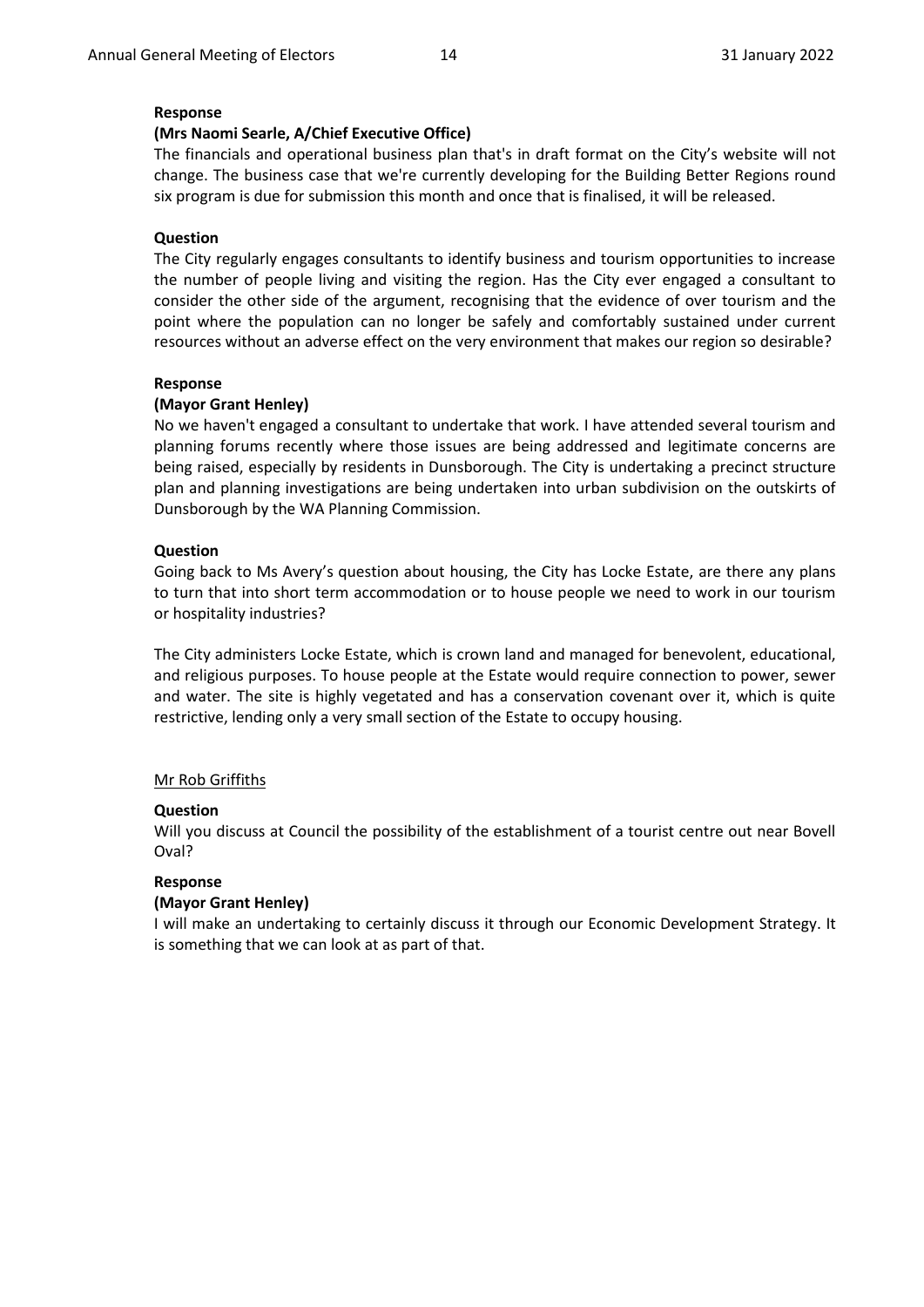### **Response**

### **(Mrs Naomi Searle, A/Chief Executive Office)**

The financials and operational business plan that's in draft format on the City's website will not change. The business case that we're currently developing for the Building Better Regions round six program is due for submission this month and once that is finalised, it will be released.

### **Question**

The City regularly engages consultants to identify business and tourism opportunities to increase the number of people living and visiting the region. Has the City ever engaged a consultant to consider the other side of the argument, recognising that the evidence of over tourism and the point where the population can no longer be safely and comfortably sustained under current resources without an adverse effect on the very environment that makes our region so desirable?

### **Response**

### **(Mayor Grant Henley)**

No we haven't engaged a consultant to undertake that work. I have attended several tourism and planning forums recently where those issues are being addressed and legitimate concerns are being raised, especially by residents in Dunsborough. The City is undertaking a precinct structure plan and planning investigations are being undertaken into urban subdivision on the outskirts of Dunsborough by the WA Planning Commission.

#### **Question**

Going back to Ms Avery's question about housing, the City has Locke Estate, are there any plans to turn that into short term accommodation or to house people we need to work in our tourism or hospitality industries?

The City administers Locke Estate, which is crown land and managed for benevolent, educational, and religious purposes. To house people at the Estate would require connection to power, sewer and water. The site is highly vegetated and has a conservation covenant over it, which is quite restrictive, lending only a very small section of the Estate to occupy housing.

#### Mr Rob Griffiths

#### **Question**

Will you discuss at Council the possibility of the establishment of a tourist centre out near Bovell Oval?

#### **Response**

#### **(Mayor Grant Henley)**

I will make an undertaking to certainly discuss it through our Economic Development Strategy. It is something that we can look at as part of that.